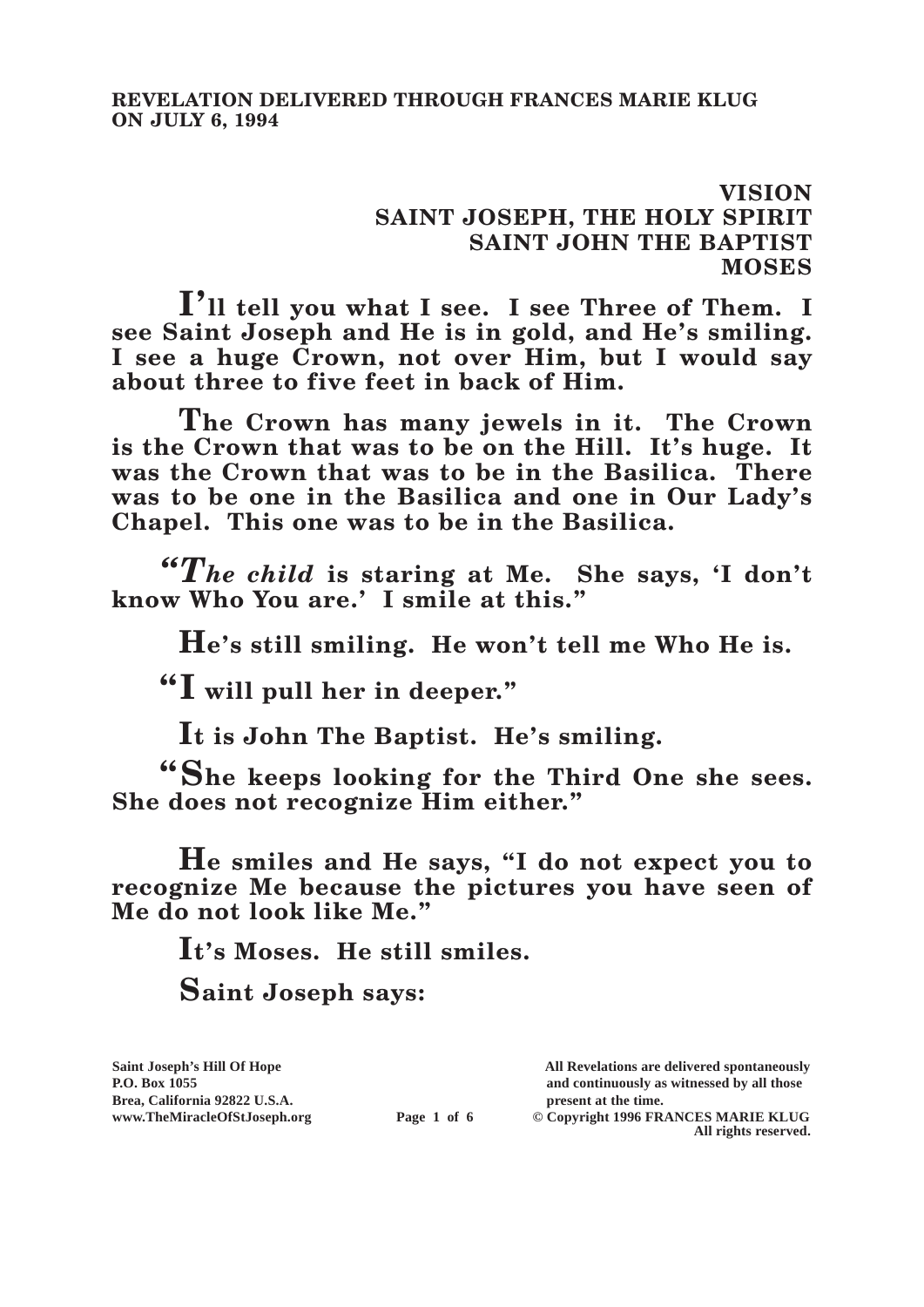## **VISION SAINT JOSEPH, THE HOLY SPIRIT SAINT JOHN THE BAPTIST MOSES**

**I'll tell you what I see. I see Three of Them. I see Saint Joseph and He is in gold, and He's smiling. I see a huge Crown, not over Him, but I would say about three to five feet in back of Him.**

**The Crown has many jewels in it. The Crown is the Crown that was to be on the Hill. It's huge. It was the Crown that was to be in the Basilica. There was to be one in the Basilica and one in Our Lady's Chapel. This one was to be in the Basilica.**

*"The child* **is staring at Me. She says, 'I don't know Who You are.' I smile at this."**

**He's still smiling. He won't tell me Who He is.**

**"I will pull her in deeper."**

**It is John The Baptist. He's smiling.**

**"She keeps looking for the Third One she sees. She does not recognize Him either."**

**He smiles and He says, "I do not expect you to recognize Me because the pictures you have seen of Me do not look like Me."**

**It's Moses. He still smiles.**

**Saint Joseph says:**

**Brea, California 92822 U.S.A. present at the time.**<br> **Page 1 of 6**  $\bullet$  **Copyright 1996 FR.** 

**Saint Joseph's Hill Of Hope All Revelations are delivered spontaneously P.O. Box 1055 and continuously as witnessed by all those** 

 $\odot$  Copyright 1996 FRANCES MARIE KLUG **All rights reserved.**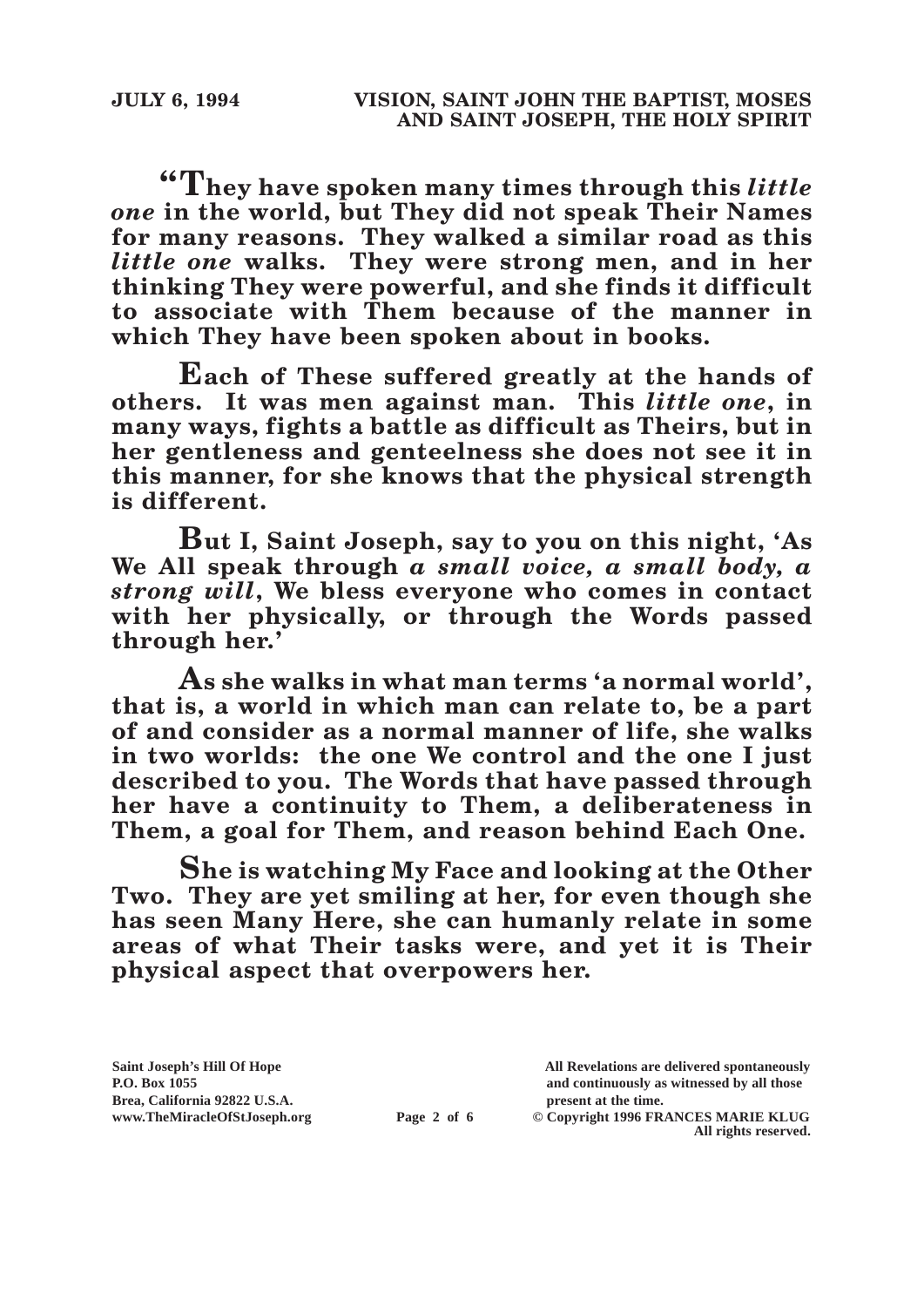**"They have spoken many times through this** *little one* **in the world, but They did not speak Their Names for many reasons. They walked a similar road as this**  *little one* **walks. They were strong men, and in her thinking They were powerful, and she finds it difficult to associate with Them because of the manner in which They have been spoken about in books.**

**Each of These suffered greatly at the hands of others. It was men against man. This** *little one***, in many ways, fights a battle as difficult as Theirs, but in her gentleness and genteelness she does not see it in this manner, for she knows that the physical strength is different.**

**But I, Saint Joseph, say to you on this night, 'As We All speak through** *a small voice, a small body, a strong will***, We bless everyone who comes in contact with her physically, or through the Words passed through her.'**

**As she walks in what man terms 'a normal world', that is, a world in which man can relate to, be a part of and consider as a normal manner of life, she walks in two worlds: the one We control and the one I just described to you. The Words that have passed through her have a continuity to Them, a deliberateness in Them, a goal for Them, and reason behind Each One.**

**She is watching My Face and looking at the Other Two. They are yet smiling at her, for even though she has seen Many Here, she can humanly relate in some areas of what Their tasks were, and yet it is Their physical aspect that overpowers her.** 

**Saint Joseph's Hill Of Hope All Revelations are delivered spontaneously Brea, California 92822 U.S.A. present at the time.**<br> **present at the time.**<br> **present at the time.**<br> **Page 2 of 6** © Copyright 1996 FR.

**P.O. Box 1055 and continuously as witnessed by all those** 

**Page 2 of 6** © Copyright 1996 FRANCES MARIE KLUG **All rights reserved.**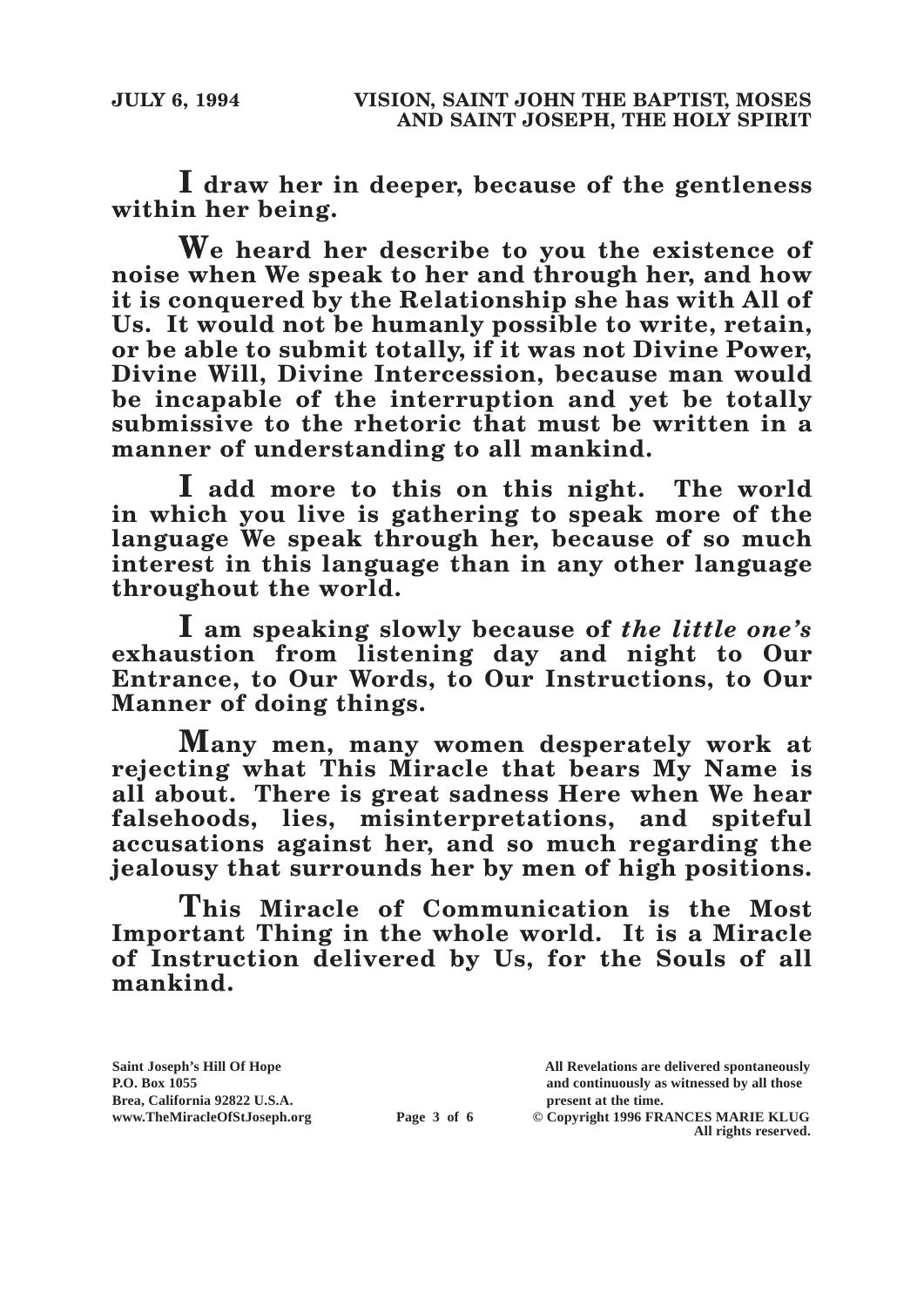**I draw her in deeper, because of the gentleness within her being.**

**We heard her describe to you the existence of noise when We speak to her and through her, and how it is conquered by the Relationship she has with All of Us. It would not be humanly possible to write, retain, or be able to submit totally, if it was not Divine Power, Divine Will, Divine Intercession, because man would be incapable of the interruption and yet be totally submissive to the rhetoric that must be written in a manner of understanding to all mankind.**

**I add more to this on this night. The world in which you live is gathering to speak more of the language We speak through her, because of so much interest in this language than in any other language throughout the world.**

**I am speaking slowly because of** *the little one's* **exhaustion from listening day and night to Our Entrance, to Our Words, to Our Instructions, to Our Manner of doing things.**

**Many men, many women desperately work at rejecting what This Miracle that bears My Name is all about. There is great sadness Here when We hear falsehoods, lies, misinterpretations, and spiteful accusations against her, and so much regarding the jealousy that surrounds her by men of high positions.**

**This Miracle of Communication is the Most Important Thing in the whole world. It is a Miracle of Instruction delivered by Us, for the Souls of all mankind.**

**P.O. Box 1055 and continuously as witnessed by all those** 

**Page 3 of 6** © Copyright 1996 FRANCES MARIE KLUG **All rights reserved.**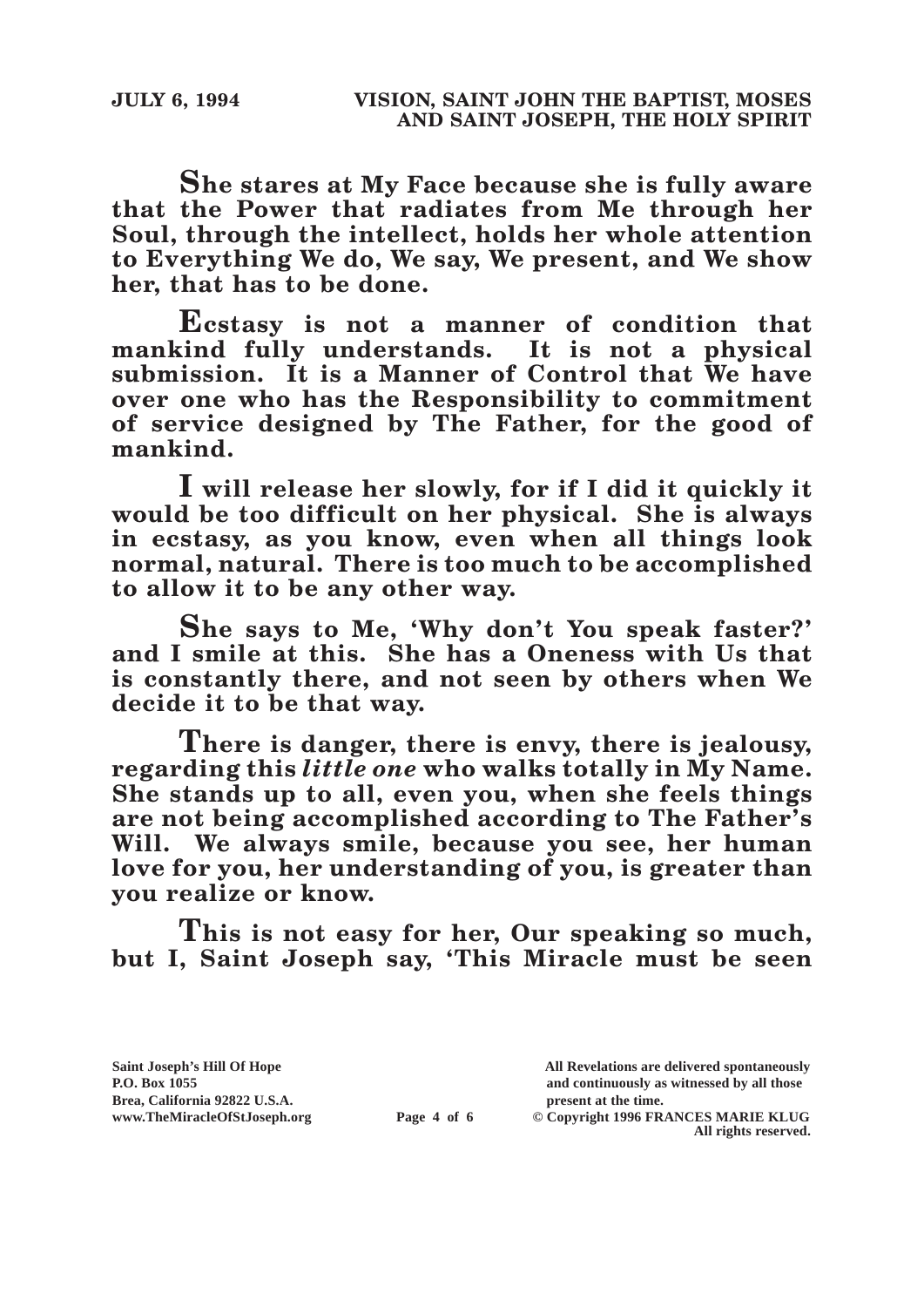**She stares at My Face because she is fully aware that the Power that radiates from Me through her Soul, through the intellect, holds her whole attention to Everything We do, We say, We present, and We show her, that has to be done.**

**Ecstasy is not a manner of condition that mankind fully understands. It is not a physical submission. It is a Manner of Control that We have over one who has the Responsibility to commitment of service designed by The Father, for the good of mankind.**

**I will release her slowly, for if I did it quickly it would be too difficult on her physical. She is always in ecstasy, as you know, even when all things look normal, natural. There is too much to be accomplished to allow it to be any other way.**

**She says to Me, 'Why don't You speak faster?' and I smile at this. She has a Oneness with Us that is constantly there, and not seen by others when We decide it to be that way.**

**There is danger, there is envy, there is jealousy, regarding this** *little one* **who walks totally in My Name. She stands up to all, even you, when she feels things are not being accomplished according to The Father's Will. We always smile, because you see, her human love for you, her understanding of you, is greater than you realize or know.**

**This is not easy for her, Our speaking so much, but I, Saint Joseph say, 'This Miracle must be seen** 

**Brea, California 92822 U.S.A. present at the time.**<br> **Page 4 of 6**  $\bullet$  **Copyright 1996 FR.** 

**Saint Joseph's Hill Of Hope All Revelations are delivered spontaneously P.O. Box 1055 and continuously as witnessed by all those** 

 $\odot$  Copyright 1996 FRANCES MARIE KLUG **All rights reserved.**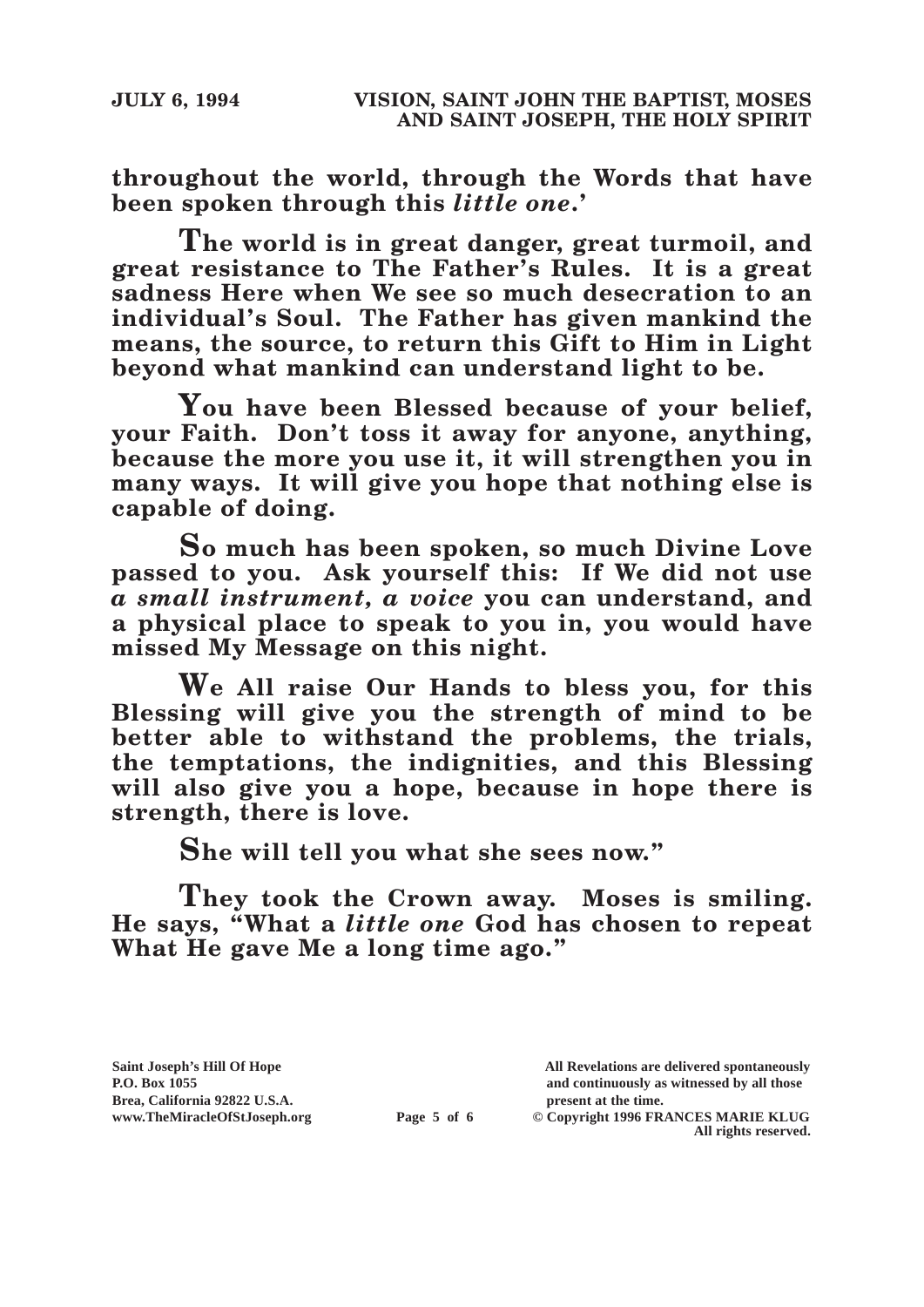**throughout the world, through the Words that have been spoken through this** *little one***.'**

**The world is in great danger, great turmoil, and great resistance to The Father's Rules. It is a great sadness Here when We see so much desecration to an individual's Soul. The Father has given mankind the means, the source, to return this Gift to Him in Light beyond what mankind can understand light to be.**

**You have been Blessed because of your belief, your Faith. Don't toss it away for anyone, anything, because the more you use it, it will strengthen you in many ways. It will give you hope that nothing else is capable of doing.**

**So much has been spoken, so much Divine Love passed to you. Ask yourself this: If We did not use**  *a small instrument, a voice* **you can understand, and a physical place to speak to you in, you would have missed My Message on this night.**

**We All raise Our Hands to bless you, for this Blessing will give you the strength of mind to be better able to withstand the problems, the trials, the temptations, the indignities, and this Blessing will also give you a hope, because in hope there is strength, there is love.**

**She will tell you what she sees now."**

**They took the Crown away. Moses is smiling. He says, "What a** *little one* **God has chosen to repeat What He gave Me a long time ago."**

**Saint Joseph's Hill Of Hope All Revelations are delivered spontaneously** Brea, California 92822 U.S.A.<br>
www.TheMiracleOfStJoseph.org<br> **Page 5 of 6** © Copyright 1996 FR.

**P.O. Box 1055 and continuously as witnessed by all those** 

 $\odot$  Copyright 1996 FRANCES MARIE KLUG **All rights reserved.**